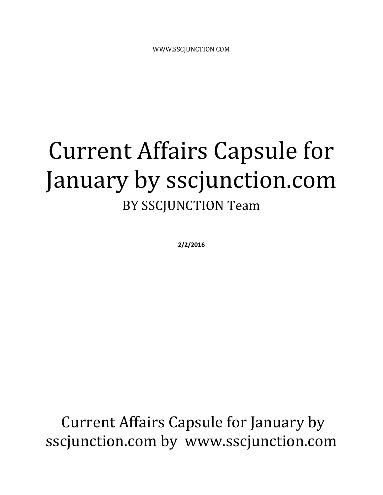# Current Affairs Capsule for January by sscjunction.com

### BY SSCJUNCTION Team

**2/2/2016**

Current Affairs Capsule for January by sscjunction.com by www.sscjunction.com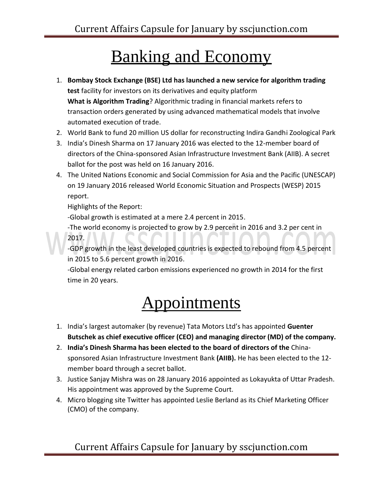### Banking and Economy

- 1. **Bombay Stock Exchange (BSE) Ltd has launched a new service for algorithm trading test** facility for investors on its derivatives and equity platform **What is Algorithm Trading**? Algorithmic trading in financial markets refers to transaction orders generated by using advanced mathematical models that involve automated execution of trade.
- 2. World Bank to fund 20 million US dollar for reconstructing Indira Gandhi Zoological Park
- 3. India's Dinesh Sharma on 17 January 2016 was elected to the 12-member board of directors of the China-sponsored Asian Infrastructure Investment Bank (AIIB). A secret ballot for the post was held on 16 January 2016.
- 4. The United Nations Economic and Social Commission for Asia and the Pacific (UNESCAP) on 19 January 2016 released World Economic Situation and Prospects (WESP) 2015 report.

Highlights of the Report:

-Global growth is estimated at a mere 2.4 percent in 2015.

-The world economy is projected to grow by 2.9 percent in 2016 and 3.2 per cent in 2017.

-GDP growth in the least developed countries is expected to rebound from 4.5 percent in 2015 to 5.6 percent growth in 2016.

-Global energy related carbon emissions experienced no growth in 2014 for the first time in 20 years.

### Appointments

- 1. India's largest automaker (by revenue) Tata Motors Ltd's has appointed **Guenter Butschek as chief executive officer (CEO) and managing director (MD) of the company.**
- 2. **India's Dinesh Sharma has been elected to the board of directors of the** Chinasponsored Asian Infrastructure Investment Bank **(AIIB).** He has been elected to the 12 member board through a secret ballot.
- 3. Justice Sanjay Mishra was on 28 January 2016 appointed as Lokayukta of Uttar Pradesh. His appointment was approved by the Supreme Court.
- 4. Micro blogging site Twitter has appointed Leslie Berland as its Chief Marketing Officer (CMO) of the company.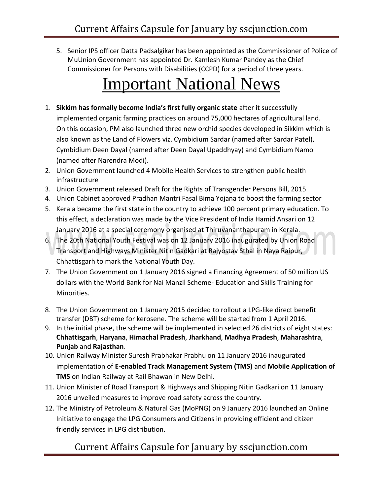5. Senior IPS officer Datta Padsalgikar has been appointed as the Commissioner of Police of MuUnion Government has appointed Dr. Kamlesh Kumar Pandey as the Chief Commissioner for Persons with Disabilities (CCPD) for a period of three years.

### **Important National News**

- 1. **Sikkim has formally become India's first fully organic state** after it successfully implemented organic farming practices on around 75,000 hectares of agricultural land. On this occasion, PM also launched three new orchid species developed in Sikkim which is also known as the Land of Flowers viz. Cymbidium Sardar (named after Sardar Patel), Cymbidium Deen Dayal (named after Deen Dayal Upaddhyay) and Cymbidium Namo (named after Narendra Modi).
- 2. Union Government launched 4 Mobile Health Services to strengthen public health infrastructure
- 3. Union Government released Draft for the Rights of Transgender Persons Bill, 2015
- 4. Union Cabinet approved Pradhan Mantri Fasal Bima Yojana to boost the farming sector
- 5. Kerala became the first state in the country to achieve 100 percent primary education. To this effect, a declaration was made by the Vice President of India Hamid Ansari on 12 January 2016 at a special ceremony organised at Thiruvananthapuram in Kerala.
- 6. The 20th National Youth Festival was on 12 January 2016 inaugurated by Union Road Transport and Highways Minister Nitin Gadkari at Rajyostav Sthal in Naya Raipur, Chhattisgarh to mark the National Youth Day.
- 7. The Union Government on 1 January 2016 signed a Financing Agreement of 50 million US dollars with the World Bank for Nai Manzil Scheme- Education and Skills Training for Minorities.
- 8. The Union Government on 1 January 2015 decided to rollout a LPG-like direct benefit transfer (DBT) scheme for kerosene. The scheme will be started from 1 April 2016.
- 9. In the initial phase, the scheme will be implemented in selected 26 districts of eight states: **Chhattisgarh**, **Haryana**, **Himachal Pradesh**, **Jharkhand**, **Madhya Pradesh**, **Maharashtra**, **Punjab** and **Rajasthan**.
- 10. Union Railway Minister Suresh Prabhakar Prabhu on 11 January 2016 inaugurated implementation of **E-enabled Track Management System (TMS)** and **Mobile Application of TMS** on Indian Railway at Rail Bhawan in New Delhi.
- 11. Union Minister of Road Transport & Highways and Shipping Nitin Gadkari on 11 January 2016 unveiled measures to improve road safety across the country.
- 12. The Ministry of Petroleum & Natural Gas (MoPNG) on 9 January 2016 launched an Online Initiative to engage the LPG Consumers and Citizens in providing efficient and citizen friendly services in LPG distribution.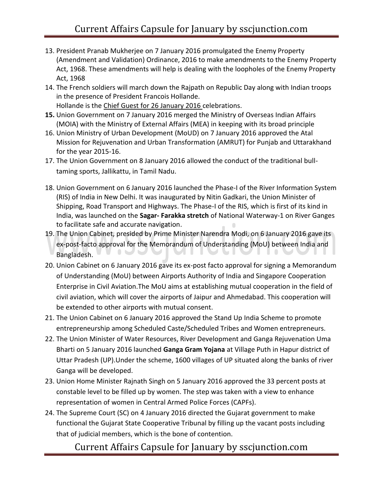- 13. President Pranab Mukherjee on 7 January 2016 promulgated the Enemy Property (Amendment and Validation) Ordinance, 2016 to make amendments to the Enemy Property Act, 1968. These amendments will help is dealing with the loopholes of the Enemy Property Act, 1968
- 14. The French soldiers will march down the Rajpath on Republic Day along with Indian troops in the presence of President Francois Hollande. Hollande is the Chief Guest for 26 January 2016 celebrations.
- **15.** Union Government on 7 January 2016 merged the Ministry of Overseas Indian Affairs (MOIA) with the Ministry of External Affairs (MEA) in keeping with its broad principle
- 16. Union Ministry of Urban Development (MoUD) on 7 January 2016 approved the Atal Mission for Rejuvenation and Urban Transformation (AMRUT) for Punjab and Uttarakhand for the year 2015-16.
- 17. The Union Government on 8 January 2016 allowed the conduct of the traditional bulltaming sports, Jallikattu, in Tamil Nadu.
- 18. Union Government on 6 January 2016 launched the Phase-I of the River Information System (RIS) of India in New Delhi. It was inaugurated by Nitin Gadkari, the Union Minister of Shipping, Road Transport and Highways. The Phase-I of the RIS, which is first of its kind in India, was launched on the **Sagar- Farakka stretch** of National Waterway-1 on River Ganges to facilitate safe and accurate navigation.
- 19. The Union Cabinet, presided by Prime Minister Narendra Modi, on 6 January 2016 gave its ex-post-facto approval for the Memorandum of Understanding (MoU) between India and **Service** Bangladesh.
- 20. Union Cabinet on 6 January 2016 gave its ex-post facto approval for signing a Memorandum of Understanding (MoU) between Airports Authority of India and Singapore Cooperation Enterprise in Civil Aviation.The MoU aims at establishing mutual cooperation in the field of civil aviation, which will cover the airports of Jaipur and Ahmedabad. This cooperation will be extended to other airports with mutual consent.
- 21. The Union Cabinet on 6 January 2016 approved the Stand Up India Scheme to promote entrepreneurship among Scheduled Caste/Scheduled Tribes and Women entrepreneurs.
- 22. The Union Minister of Water Resources, River Development and Ganga Rejuvenation Uma Bharti on 5 January 2016 launched **Ganga Gram Yojana** at Village Puth in Hapur district of Uttar Pradesh (UP).Under the scheme, 1600 villages of UP situated along the banks of river Ganga will be developed.
- 23. Union Home Minister Rajnath Singh on 5 January 2016 approved the 33 percent posts at constable level to be filled up by women. The step was taken with a view to enhance representation of women in Central Armed Police Forces (CAPFs).
- 24. The Supreme Court (SC) on 4 January 2016 directed the Gujarat government to make functional the Gujarat State Cooperative Tribunal by filling up the vacant posts including that of judicial members, which is the bone of contention.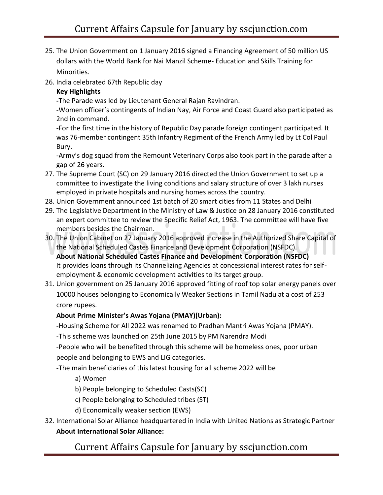- 25. The Union Government on 1 January 2016 signed a Financing Agreement of 50 million US dollars with the World Bank for Nai Manzil Scheme- Education and Skills Training for Minorities.
- 26. India celebrated 67th Republic day

#### **Key Highlights**

**-**The Parade was led by Lieutenant General Rajan Ravindran.

-Women officer's contingents of Indian Nay, Air Force and Coast Guard also participated as 2nd in command.

-For the first time in the history of Republic Day parade foreign contingent participated. It was 76-member contingent 35th Infantry Regiment of the French Army led by Lt Col Paul Bury.

-Army's dog squad from the Remount Veterinary Corps also took part in the parade after a gap of 26 years.

- 27. The Supreme Court (SC) on 29 January 2016 directed the Union Government to set up a committee to investigate the living conditions and salary structure of over 3 lakh nurses employed in private hospitals and nursing homes across the country.
- 28. Union Government announced 1st batch of 20 smart cities from 11 States and Delhi
- 29. The Legislative Department in the Ministry of Law & Justice on 28 January 2016 constituted an expert committee to review the Specific Relief Act, 1963. The committee will have five members besides the Chairman.
- 30. The Union Cabinet on 27 January 2016 approved increase in the Authorized Share Capital of the National Scheduled Castes Finance and Development Corporation (NSFDC). **About National Scheduled Castes Finance and Development Corporation (NSFDC)** It provides loans through its Channelizing Agencies at concessional interest rates for selfemployment & economic development activities to its target group.
- 31. Union government on 25 January 2016 approved fitting of roof top solar energy panels over 10000 houses belonging to Economically Weaker Sections in Tamil Nadu at a cost of 253 crore rupees.

#### **About Prime Minister's Awas Yojana (PMAY)(Urban):**

**-**Housing Scheme for All 2022 was renamed to Pradhan Mantri Awas Yojana (PMAY).

-This scheme was launched on 25th June 2015 by PM Narendra Modi

-People who will be benefited through this scheme will be homeless ones, poor urban people and belonging to EWS and LIG categories.

-The main beneficiaries of this latest housing for all scheme 2022 will be

- a) Women
- b) People belonging to Scheduled Casts(SC)
- c) People belonging to Scheduled tribes (ST)
- d) Economically weaker section (EWS)
- 32. International Solar Alliance headquartered in India with United Nations as Strategic Partner **About International Solar Alliance:**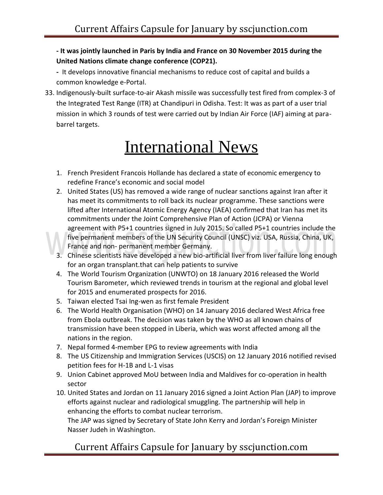**- It was jointly launched in Paris by India and France on 30 November 2015 during the United Nations climate change conference (COP21).**

**-** It develops innovative financial mechanisms to reduce cost of capital and builds a common knowledge e-Portal.

33. Indigenously-built surface-to-air Akash missile was successfully test fired from complex-3 of the Integrated Test Range (ITR) at Chandipuri in Odisha. Test: It was as part of a user trial mission in which 3 rounds of test were carried out by Indian Air Force (IAF) aiming at parabarrel targets.

# **International News**

- 1. French President Francois Hollande has declared a state of economic emergency to redefine France's economic and social model
- 2. United States (US) has removed a wide range of nuclear sanctions against Iran after it has meet its commitments to roll back its nuclear programme. These sanctions were lifted after International Atomic Energy Agency (IAEA) confirmed that Iran has met its commitments under the Joint Comprehensive Plan of Action (JCPA) or Vienna agreement with P5+1 countries signed in July 2015. So called P5+1 countries include the five permanent members of the UN Security Council (UNSC) viz. USA, Russia, China, UK, France and non- permanent member Germany.
- 3. Chinese scientists have developed a new bio-artificial liver from liver failure long enough for an organ transplant.that can help patients to survive
- 4. The World Tourism Organization (UNWTO) on 18 January 2016 released the World Tourism Barometer, which reviewed trends in tourism at the regional and global level for 2015 and enumerated prospects for 2016.
- 5. Taiwan elected Tsai Ing-wen as first female President
- 6. The World Health Organisation (WHO) on 14 January 2016 declared West Africa free from Ebola outbreak. The decision was taken by the WHO as all known chains of transmission have been stopped in Liberia, which was worst affected among all the nations in the region.
- 7. Nepal formed 4-member EPG to review agreements with India
- 8. The US Citizenship and Immigration Services (USCIS) on 12 January 2016 notified revised petition fees for H-1B and L-1 visas
- 9. Union Cabinet approved MoU between India and Maldives for co-operation in health sector
- 10. United States and Jordan on 11 January 2016 signed a Joint Action Plan (JAP) to improve efforts against nuclear and radiological smuggling. The partnership will help in enhancing the efforts to combat nuclear terrorism.

The JAP was signed by Secretary of State John Kerry and Jordan's Foreign Minister Nasser Judeh in Washington.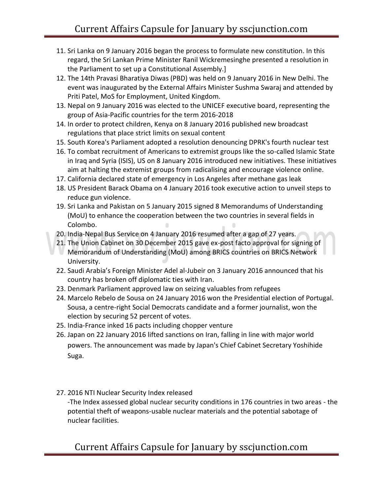- 11. Sri Lanka on 9 January 2016 began the process to formulate new constitution. In this regard, the Sri Lankan Prime Minister Ranil Wickremesinghe presented a resolution in the Parliament to set up a Constitutional Assembly.]
- 12. The 14th Pravasi Bharatiya Diwas (PBD) was held on 9 January 2016 in New Delhi. The event was inaugurated by the External Affairs Minister Sushma Swaraj and attended by Priti Patel, MoS for Employment, United Kingdom.
- 13. Nepal on 9 January 2016 was elected to the UNICEF executive board, representing the group of Asia-Pacific countries for the term 2016-2018
- 14. In order to protect children, Kenya on 8 January 2016 published new broadcast regulations that place strict limits on sexual content
- 15. South Korea's Parliament adopted a resolution denouncing DPRK's fourth nuclear test
- 16. To combat recruitment of Americans to extremist groups like the so-called Islamic State in Iraq and Syria (ISIS), US on 8 January 2016 introduced new initiatives. These initiatives aim at halting the extremist groups from radicalising and encourage violence online.
- 17. California declared state of emergency in Los Angeles after methane gas leak
- 18. US President Barack Obama on 4 January 2016 took executive action to unveil steps to reduce gun violence.
- 19. Sri Lanka and Pakistan on 5 January 2015 signed 8 Memorandums of Understanding (MoU) to enhance the cooperation between the two countries in several fields in Colombo.  $\Box$
- 20. India-Nepal Bus Service on 4 January 2016 resumed after a gap of 27 years.
- 21. The Union Cabinet on 30 December 2015 gave ex-post facto approval for signing of Memorandum of Understanding (MoU) among BRICS countries on BRICS Network University.
- 22. Saudi Arabia's Foreign Minister Adel al-Jubeir on 3 January 2016 announced that his country has broken off diplomatic ties with Iran.
- 23. Denmark Parliament approved law on seizing valuables from refugees
- 24. Marcelo Rebelo de Sousa on 24 January 2016 won the Presidential election of Portugal. Sousa, a centre-right Social Democrats candidate and a former journalist, won the election by securing 52 percent of votes.
- 25. India-France inked 16 pacts including chopper venture
- 26. Japan on 22 January 2016 lifted sanctions on Iran, falling in line with major world powers. The announcement was made by Japan's Chief Cabinet Secretary Yoshihide Suga.
- 27. 2016 NTI Nuclear Security Index released -The Index assessed global nuclear security conditions in 176 countries in two areas - the potential theft of weapons-usable nuclear materials and the potential sabotage of nuclear facilities.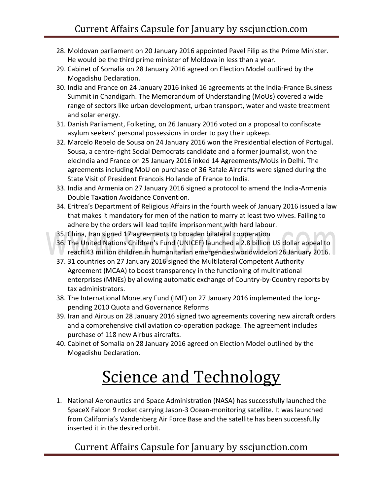- 28. Moldovan parliament on 20 January 2016 appointed Pavel Filip as the Prime Minister. He would be the third prime minister of Moldova in less than a year.
- 29. Cabinet of Somalia on 28 January 2016 agreed on Election Model outlined by the Mogadishu Declaration.
- 30. India and France on 24 January 2016 inked 16 agreements at the India-France Business Summit in Chandigarh. The Memorandum of Understanding (MoUs) covered a wide range of sectors like urban development, urban transport, water and waste treatment and solar energy.
- 31. Danish Parliament, Folketing, on 26 January 2016 voted on a proposal to confiscate asylum seekers' personal possessions in order to pay their upkeep.
- 32. Marcelo Rebelo de Sousa on 24 January 2016 won the Presidential election of Portugal. Sousa, a centre-right Social Democrats candidate and a former journalist, won the elecIndia and France on 25 January 2016 inked 14 Agreements/MoUs in Delhi. The agreements including MoU on purchase of 36 Rafale Aircrafts were signed during the State Visit of President Francois Hollande of France to India.
- 33. India and Armenia on 27 January 2016 signed a protocol to amend the India-Armenia Double Taxation Avoidance Convention.
- 34. Eritrea's Department of Religious Affairs in the fourth week of January 2016 issued a law that makes it mandatory for men of the nation to marry at least two wives. Failing to adhere by the orders will lead to life imprisonment with hard labour.
- 35. China, Iran signed 17 agreements to broaden bilateral cooperation
- 36. The United Nations Children's Fund (UNICEF) launched a 2.8 billion US dollar appeal to reach 43 million children in humanitarian emergencies worldwide on 26 January 2016.
- 37. 31 countries on 27 January 2016 signed the Multilateral Competent Authority Agreement (MCAA) to boost transparency in the functioning of multinational enterprises (MNEs) by allowing automatic exchange of Country-by-Country reports by tax administrators.
- 38. The International Monetary Fund (IMF) on 27 January 2016 implemented the longpending 2010 Quota and Governance Reforms
- 39. Iran and Airbus on 28 January 2016 signed two agreements covering new aircraft orders and a comprehensive civil aviation co-operation package. The agreement includes purchase of 118 new Airbus aircrafts.
- 40. Cabinet of Somalia on 28 January 2016 agreed on Election Model outlined by the Mogadishu Declaration.

# **Science and Technology**

1. National Aeronautics and Space Administration (NASA) has successfully launched the SpaceX Falcon 9 rocket carrying Jason-3 Ocean-monitoring satellite. It was launched from California's Vandenberg Air Force Base and the satellite has been successfully inserted it in the desired orbit.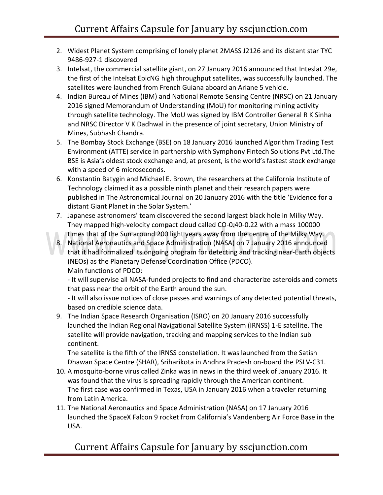- 2. Widest Planet System comprising of lonely planet 2MASS J2126 and its distant star TYC 9486-927-1 discovered
- 3. Intelsat, the commercial satellite giant, on 27 January 2016 announced that Inteslat 29e, the first of the Intelsat EpicNG high throughput satellites, was successfully launched. The satellites were launched from French Guiana aboard an Ariane 5 vehicle.
- 4. Indian Bureau of Mines (IBM) and National Remote Sensing Centre (NRSC) on 21 January 2016 signed Memorandum of Understanding (MoU) for monitoring mining activity through satellite technology. The MoU was signed by IBM Controller General R K Sinha and NRSC Director V K Dadhwal in the presence of joint secretary, Union Ministry of Mines, Subhash Chandra.
- 5. The Bombay Stock Exchange (BSE) on 18 January 2016 launched Algorithm Trading Test Environment (ATTE) service in partnership with Symphony Fintech Solutions Pvt Ltd.The BSE is Asia's oldest stock exchange and, at present, is the world's fastest stock exchange with a speed of 6 microseconds.
- 6. Konstantin Batygin and Michael E. Brown, the researchers at the California Institute of Technology claimed it as a possible ninth planet and their research papers were published in The Astronomical Journal on 20 January 2016 with the title 'Evidence for a distant Giant Planet in the Solar System.'
- 7. Japanese astronomers' team discovered the second largest black hole in Milky Way. They mapped high-velocity compact cloud called CO-0.40-0.22 with a mass 100000 times that of the Sun around 200 light years away from the centre of the Milky Way.
- 8. National Aeronautics and Space Administration (NASA) on 7 January 2016 announced that it had formalized its ongoing program for detecting and tracking near-Earth objects (NEOs) as the Planetary Defense Coordination Office (PDCO). Main functions of PDCO:

- It will supervise all NASA-funded projects to find and characterize asteroids and comets that pass near the orbit of the Earth around the sun.

- It will also issue notices of close passes and warnings of any detected potential threats, based on credible science data.

9. The Indian Space Research Organisation (ISRO) on 20 January 2016 successfully launched the Indian Regional Navigational Satellite System (IRNSS) 1-E satellite. The satellite will provide navigation, tracking and mapping services to the Indian sub continent.

The satellite is the fifth of the IRNSS constellation. It was launched from the Satish Dhawan Space Centre (SHAR), Sriharikota in Andhra Pradesh on-board the PSLV-C31.

- 10. A mosquito-borne virus called Zinka was in news in the third week of January 2016. It was found that the virus is spreading rapidly through the American continent. The first case was confirmed in Texas, USA in January 2016 when a traveler returning from Latin America.
- 11. The National Aeronautics and Space Administration (NASA) on 17 January 2016 launched the SpaceX Falcon 9 rocket from California's Vandenberg Air Force Base in the USA.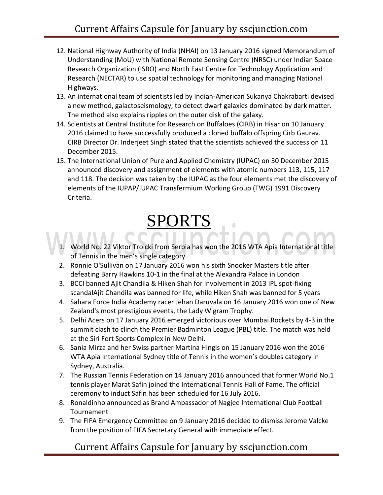- 12. National Highway Authority of India (NHAI) on 13 January 2016 signed Memorandum of Understanding (MoU) with National Remote Sensing Centre (NRSC) under Indian Space Research Organization (ISRO) and North East Centre for Technology Application and Research (NECTAR) to use spatial technology for monitoring and managing National Highways.
- 13. An international team of scientists led by Indian-American Sukanya Chakrabarti devised a new method, galactoseismology, to detect dwarf galaxies dominated by dark matter. The method also explains ripples on the outer disk of the galaxy.
- 14. Scientists at Central Institute for Research on Buffaloes (CIRB) in Hisar on 10 January 2016 claimed to have successfully produced a cloned buffalo offspring Cirb Gaurav. CIRB Director Dr. Inderjeet Singh stated that the scientists achieved the success on 11 December 2015.
- 15. The International Union of Pure and Applied Chemistry (IUPAC) on 30 December 2015 announced discovery and assignment of elements with atomic numbers 113, 115, 117 and 118. The decision was taken by the IUPAC as the four elements met the discovery of elements of the IUPAP/IUPAC Transfermium Working Group (TWG) 1991 Discovery Criteria.

## SPORTS

- World No. 22 Viktor Troicki from Serbia has won the 2016 WTA Apia International title of Tennis in the men's single category
- 2. Ronnie O'Sullivan on 17 January 2016 won his sixth Snooker Masters title after defeating Barry Hawkins 10-1 in the final at the Alexandra Palace in London
- 3. BCCI banned Ajit Chandila & Hiken Shah for involvement in 2013 IPL spot-fixing scandalAjit Chandila was banned for life, while Hiken Shah was banned for 5 years
- 4. Sahara Force India Academy racer Jehan Daruvala on 16 January 2016 won one of New Zealand's most prestigious events, the Lady Wigram Trophy.
- 5. Delhi Acers on 17 January 2016 emerged victorious over Mumbai Rockets by 4-3 in the summit clash to clinch the Premier Badminton League (PBL) title. The match was held at the Siri Fort Sports Complex in New Delhi.
- 6. Sania Mirza and her Swiss partner Martina Hingis on 15 January 2016 won the 2016 WTA Apia International Sydney title of Tennis in the women's doubles category in Sydney, Australia.
- 7. The Russian Tennis Federation on 14 January 2016 announced that former World No.1 tennis player Marat Safin joined the International Tennis Hall of Fame. The official ceremony to induct Safin has been scheduled for 16 July 2016.
- 8. Ronaldinho announced as Brand Ambassador of Nagjee International Club Football Tournament
- 9. The FIFA Emergency Committee on 9 January 2016 decided to dismiss Jerome Valcke from the position of FIFA Secretary General with immediate effect.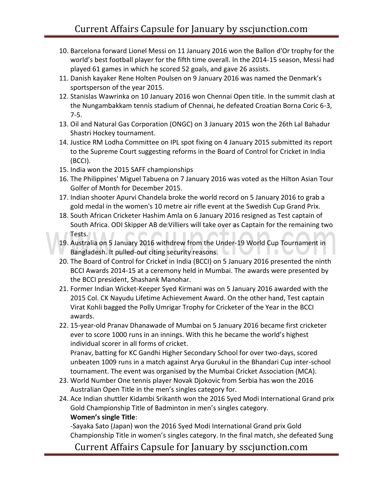- 10. Barcelona forward Lionel Messi on 11 January 2016 won the Ballon d'Or trophy for the world's best football player for the fifth time overall. In the 2014-15 season, Messi had played 61 games in which he scored 52 goals, and gave 26 assists.
- 11. Danish kayaker Rene Holten Poulsen on 9 January 2016 was named the Denmark's sportsperson of the year 2015.
- 12. Stanislas Wawrinka on 10 January 2016 won Chennai Open title. In the summit clash at the Nungambakkam tennis stadium of Chennai, he defeated Croatian Borna Coric 6-3, 7-5.
- 13. Oil and Natural Gas Corporation (ONGC) on 3 January 2015 won the 26th Lal Bahadur Shastri Hockey tournament.
- 14. Justice RM Lodha Committee on IPL spot fixing on 4 January 2015 submitted its report to the Supreme Court suggesting reforms in the Board of Control for Cricket in India (BCCI).
- 15. India won the 2015 SAFF championships
- 16. The Philippines' Miguel Tabuena on 7 January 2016 was voted as the Hilton Asian Tour Golfer of Month for December 2015.
- 17. Indian shooter Apurvi Chandela broke the world record on 5 January 2016 to grab a gold medal in the women's 10 metre air rifle event at the Swedish Cup Grand Prix.
- 18. South African Cricketer Hashim Amla on 6 January 2016 resigned as Test captain of South Africa. ODI Skipper AB de Villiers will take over as Captain for the remaining two Tests. AA.  $\bigcap$
- 19. Australia on 5 January 2016 withdrew from the Under-19 World Cup Tournament in Bangladesh. It pulled-out citing security reasons. **Bullet Communist Communist Communist Communist Communist Communist Communist Communist Communist Communist Communist Communist Communist Communist Communist Communist Com**
- 20. The Board of Control for Cricket in India (BCCI) on 5 January 2016 presented the ninth BCCI Awards 2014-15 at a ceremony held in Mumbai. The awards were presented by the BCCI president, Shashank Manohar.
- 21. Former Indian Wicket-Keeper Syed Kirmani was on 5 January 2016 awarded with the 2015 Col. CK Nayudu Lifetime Achievement Award. On the other hand, Test captain Virat Kohli bagged the Polly Umrigar Trophy for Cricketer of the Year in the BCCI awards.
- 22. 15-year-old Pranav Dhanawade of Mumbai on 5 January 2016 became first cricketer ever to score 1000 runs in an innings. With this he became the world's highest individual scorer in all forms of cricket.

Pranav, batting for KC Gandhi Higher Secondary School for over two-days, scored unbeaten 1009 runs in a match against Arya Gurukul in the Bhandari Cup inter-school tournament. The event was organised by the Mumbai Cricket Association (MCA).

- 23. World Number One tennis player Novak Djokovic from Serbia has won the 2016 Australian Open Title in the men's singles category for.
- 24. Ace Indian shuttler Kidambi Srikanth won the 2016 Syed Modi International Grand prix Gold Championship Title of Badminton in men's singles category. **Women's single Title**:

-Sayaka Sato (Japan) won the 2016 Syed Modi International Grand prix Gold Championship Title in women's singles category. In the final match, she defeated Sung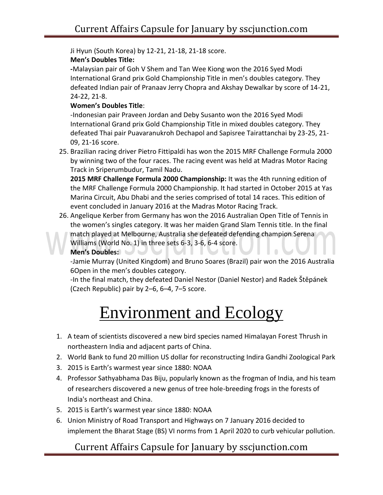Ji Hyun (South Korea) by 12-21, 21-18, 21-18 score.

#### **Men's Doubles Title:**

**-**Malaysian pair of Goh V Shem and Tan Wee Kiong won the 2016 Syed Modi International Grand prix Gold Championship Title in men's doubles category. They defeated Indian pair of Pranaav Jerry Chopra and Akshay Dewalkar by score of 14-21, 24-22, 21-8.

#### **Women's Doubles Title**:

-Indonesian pair Praveen Jordan and Deby Susanto won the 2016 Syed Modi International Grand prix Gold Championship Title in mixed doubles category. They defeated Thai pair Puavaranukroh Dechapol and Sapisree Tairattanchai by 23-25, 21- 09, 21-16 score.

25. Brazilian racing driver Pietro Fittipaldi has won the 2015 MRF Challenge Formula 2000 by winning two of the four races. The racing event was held at Madras Motor Racing Track in Sriperumbudur, Tamil Nadu.

**2015 MRF Challenge Formula 2000 Championship:** It was the 4th running edition of the MRF Challenge Formula 2000 Championship. It had started in October 2015 at Yas Marina Circuit, Abu Dhabi and the series comprised of total 14 races. This edition of event concluded in January 2016 at the Madras Motor Racing Track.

26. Angelique Kerber from Germany has won the 2016 Australian Open Title of Tennis in the women's singles category. It was her maiden Grand Slam Tennis title. In the final match played at Melbourne, Australia she defeated defending champion Serena Williams (World No. 1) in three sets 6-3, 3-6, 6-4 score. **MITVLI** 

#### **Men's Doubles:**

-Jamie Murray (United Kingdom) and Bruno Soares (Brazil) pair won the 2016 Australia 6Open in the men's doubles category.

-In the final match, they defeated Daniel Nestor (Daniel Nestor) and Radek Štěpánek (Czech Republic) pair by 2–6, 6–4, 7–5 score.

# Environment and Ecology

- 1. A team of scientists discovered a new bird species named Himalayan Forest Thrush in northeastern India and adjacent parts of China.
- 2. World Bank to fund 20 million US dollar for reconstructing Indira Gandhi Zoological Park
- 3. 2015 is Earth's warmest year since 1880: NOAA
- 4. Professor Sathyabhama Das Biju, popularly known as the frogman of India, and his team of researchers discovered a new genus of tree hole-breeding frogs in the forests of India's northeast and China.
- 5. 2015 is Earth's warmest year since 1880: NOAA
- 6. Union Ministry of Road Transport and Highways on 7 January 2016 decided to implement the Bharat Stage (BS) VI norms from 1 April 2020 to curb vehicular pollution.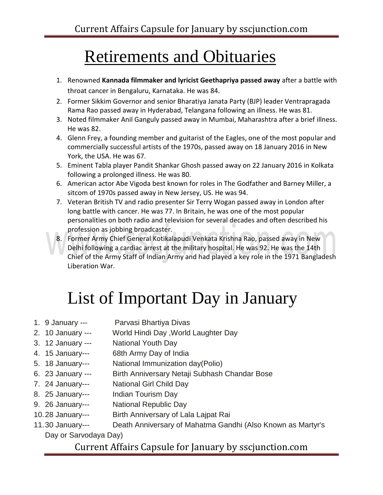### Retirements and Obituaries

- 1. Renowned **Kannada filmmaker and lyricist Geethapriya passed away** after a battle with throat cancer in Bengaluru, Karnataka. He was 84.
- 2. Former Sikkim Governor and senior Bharatiya Janata Party (BJP) leader Ventrapragada Rama Rao passed away in Hyderabad, Telangana following an illness. He was 81.
- 3. Noted filmmaker Anil Ganguly passed away in Mumbai, Maharashtra after a brief illness. He was 82.
- 4. Glenn Frey, a founding member and guitarist of the Eagles, one of the most popular and commercially successful artists of the 1970s, passed away on 18 January 2016 in New York, the USA. He was 67.
- 5. Eminent Tabla player Pandit Shankar Ghosh passed away on 22 January 2016 in Kolkata following a prolonged illness. He was 80.
- 6. American actor Abe Vigoda best known for roles in The Godfather and Barney Miller, a sitcom of 1970s passed away in New Jersey, US. He was 94.
- 7. Veteran British TV and radio presenter Sir Terry Wogan passed away in London after long battle with cancer. He was 77. In Britain, he was one of the most popular personalities on both radio and television for several decades and often described his profession as jobbing broadcaster.
- 8. Former Army Chief General Kotikalapudi Venkata Krishna Rao, passed away in New Delhi following a cardiac arrest at the military hospital. He was 92. He was the 14th Chief of the Army Staff of Indian Army and had played a key role in the 1971 Bangladesh Liberation War.

# List of Important Day in January

- 1. 9 January --- Parvasi Bhartiya Divas
- 2. 10 January --- World Hindi Day ,World Laughter Day
- 3. 12 January --- National Youth Day
- 4. 15 January--- 68th Army Day of India
- 5. 18 January--- National Immunization day(Polio)
- 6. 23 January --- Birth Anniversary Netaji Subhash Chandar Bose
- 7. 24 January--- National Girl Child Day
- 8. 25 January--- Indian Tourism Day
- 9. 26 January--- National Republic Day
- 10.28 January--- Birth Anniversary of Lala Lajpat Rai
- 11.30 January--- Death Anniversary of Mahatma Gandhi (Also Known as Martyr's Day or Sarvodaya Day)